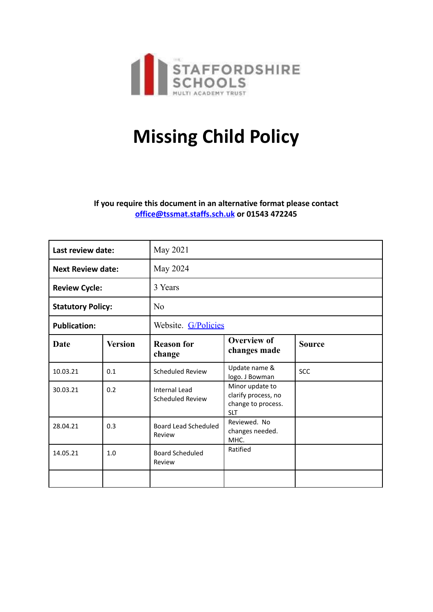

# **Missing Child Policy**

**If you require this document in an alternative format please contact [office@tssmat.staffs.sch.uk](mailto:office@tssmat.staffs.sch.uk) or 01543 472245**

| Last review date:        |                | May 2021                                 |                                                                            |               |
|--------------------------|----------------|------------------------------------------|----------------------------------------------------------------------------|---------------|
| <b>Next Review date:</b> |                | May 2024                                 |                                                                            |               |
| <b>Review Cycle:</b>     |                | 3 Years                                  |                                                                            |               |
| <b>Statutory Policy:</b> |                | No                                       |                                                                            |               |
| <b>Publication:</b>      |                | Website. G/Policies                      |                                                                            |               |
| <b>Date</b>              | <b>Version</b> | <b>Reason for</b><br>change              | <b>Overview of</b><br>changes made                                         | <b>Source</b> |
| 10.03.21                 | 0.1            | Scheduled Review                         | Update name &<br>logo. J Bowman                                            | <b>SCC</b>    |
| 30.03.21                 | 0.2            | Internal Lead<br><b>Scheduled Review</b> | Minor update to<br>clarify process, no<br>change to process.<br><b>SLT</b> |               |
| 28.04.21                 | 0.3            | Board Lead Scheduled<br>Review           | Reviewed. No<br>changes needed.<br>MHC.                                    |               |
| 14.05.21                 | 1.0            | <b>Board Scheduled</b><br>Review         | Ratified                                                                   |               |
|                          |                |                                          |                                                                            |               |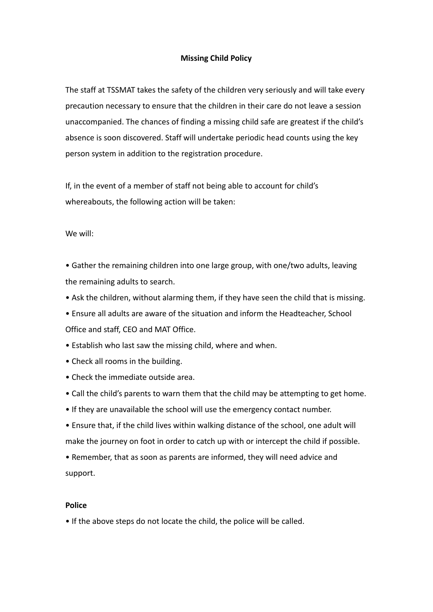# **Missing Child Policy**

The staff at TSSMAT takes the safety of the children very seriously and will take every precaution necessary to ensure that the children in their care do not leave a session unaccompanied. The chances of finding a missing child safe are greatest if the child's absence is soon discovered. Staff will undertake periodic head counts using the key person system in addition to the registration procedure.

If, in the event of a member of staff not being able to account for child's whereabouts, the following action will be taken:

We will:

• Gather the remaining children into one large group, with one/two adults, leaving the remaining adults to search.

- Ask the children, without alarming them, if they have seen the child that is missing.
- Ensure all adults are aware of the situation and inform the Headteacher, School Office and staff, CEO and MAT Office.
- Establish who last saw the missing child, where and when.
- Check all rooms in the building.
- Check the immediate outside area.
- Call the child's parents to warn them that the child may be attempting to get home.
- If they are unavailable the school will use the emergency contact number.
- Ensure that, if the child lives within walking distance of the school, one adult will make the journey on foot in order to catch up with or intercept the child if possible.
- Remember, that as soon as parents are informed, they will need advice and support.

## **Police**

• If the above steps do not locate the child, the police will be called.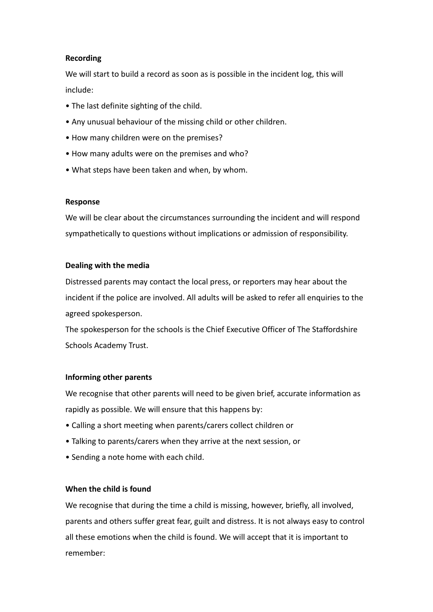# **Recording**

We will start to build a record as soon as is possible in the incident log, this will include:

- The last definite sighting of the child.
- Any unusual behaviour of the missing child or other children.
- How many children were on the premises?
- How many adults were on the premises and who?
- What steps have been taken and when, by whom.

#### **Response**

We will be clear about the circumstances surrounding the incident and will respond sympathetically to questions without implications or admission of responsibility.

#### **Dealing with the media**

Distressed parents may contact the local press, or reporters may hear about the incident if the police are involved. All adults will be asked to refer all enquiries to the agreed spokesperson.

The spokesperson for the schools is the Chief Executive Officer of The Staffordshire Schools Academy Trust.

## **Informing other parents**

We recognise that other parents will need to be given brief, accurate information as rapidly as possible. We will ensure that this happens by:

- Calling a short meeting when parents/carers collect children or
- Talking to parents/carers when they arrive at the next session, or
- Sending a note home with each child.

# **When the child is found**

We recognise that during the time a child is missing, however, briefly, all involved, parents and others suffer great fear, guilt and distress. It is not always easy to control all these emotions when the child is found. We will accept that it is important to remember: